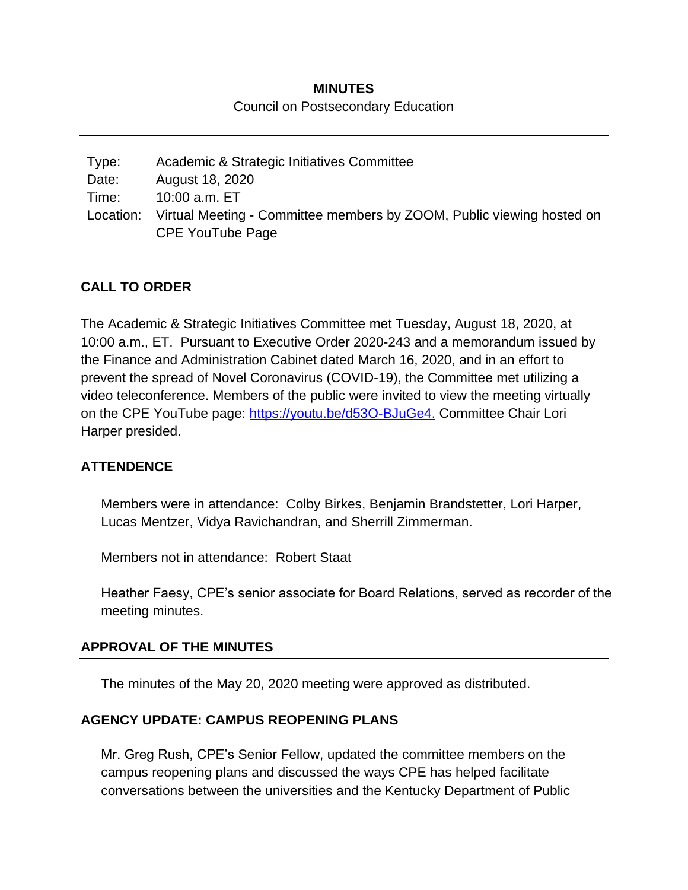### **MINUTES** Council on Postsecondary Education

| Type: | Academic & Strategic Initiatives Committee                                      |
|-------|---------------------------------------------------------------------------------|
| Date: | August 18, 2020                                                                 |
| Time: | 10:00 a.m. ET                                                                   |
|       | Location: Virtual Meeting - Committee members by ZOOM, Public viewing hosted on |
|       | <b>CPE YouTube Page</b>                                                         |

### **CALL TO ORDER**

The Academic & Strategic Initiatives Committee met Tuesday, August 18, 2020, at 10:00 a.m., ET. Pursuant to Executive Order 2020-243 and a memorandum issued by the Finance and Administration Cabinet dated March 16, 2020, and in an effort to prevent the spread of Novel Coronavirus (COVID-19), the Committee met utilizing a video teleconference. Members of the public were invited to view the meeting virtually on the CPE YouTube page: [https://youtu.be/d53O-BJuGe4.](https://youtu.be/d53O-BJuGe4) Committee Chair Lori Harper presided.

#### **ATTENDENCE**

Members were in attendance: Colby Birkes, Benjamin Brandstetter, Lori Harper, Lucas Mentzer, Vidya Ravichandran, and Sherrill Zimmerman.

Members not in attendance: Robert Staat

Heather Faesy, CPE's senior associate for Board Relations, served as recorder of the meeting minutes.

#### **APPROVAL OF THE MINUTES**

The minutes of the May 20, 2020 meeting were approved as distributed.

#### **AGENCY UPDATE: CAMPUS REOPENING PLANS**

Mr. Greg Rush, CPE's Senior Fellow, updated the committee members on the campus reopening plans and discussed the ways CPE has helped facilitate conversations between the universities and the Kentucky Department of Public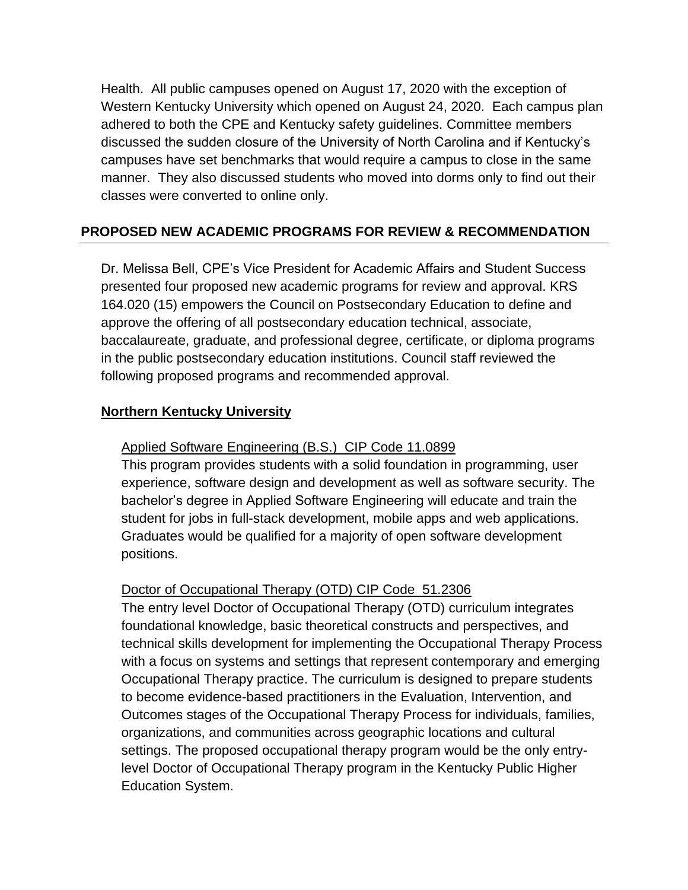Health. All public campuses opened on August 17, 2020 with the exception of Western Kentucky University which opened on August 24, 2020. Each campus plan adhered to both the CPE and Kentucky safety guidelines. Committee members discussed the sudden closure of the University of North Carolina and if Kentucky's campuses have set benchmarks that would require a campus to close in the same manner. They also discussed students who moved into dorms only to find out their classes were converted to online only.

# **PROPOSED NEW ACADEMIC PROGRAMS FOR REVIEW & RECOMMENDATION**

Dr. Melissa Bell, CPE's Vice President for Academic Affairs and Student Success presented four proposed new academic programs for review and approval. KRS 164.020 (15) empowers the Council on Postsecondary Education to define and approve the offering of all postsecondary education technical, associate, baccalaureate, graduate, and professional degree, certificate, or diploma programs in the public postsecondary education institutions. Council staff reviewed the following proposed programs and recommended approval.

### **Northern Kentucky University**

### Applied Software Engineering (B.S.) CIP Code 11.0899

This program provides students with a solid foundation in programming, user experience, software design and development as well as software security. The bachelor's degree in Applied Software Engineering will educate and train the student for jobs in full-stack development, mobile apps and web applications. Graduates would be qualified for a majority of open software development positions.

# Doctor of Occupational Therapy (OTD) CIP Code 51.2306

The entry level Doctor of Occupational Therapy (OTD) curriculum integrates foundational knowledge, basic theoretical constructs and perspectives, and technical skills development for implementing the Occupational Therapy Process with a focus on systems and settings that represent contemporary and emerging Occupational Therapy practice. The curriculum is designed to prepare students to become evidence-based practitioners in the Evaluation, Intervention, and Outcomes stages of the Occupational Therapy Process for individuals, families, organizations, and communities across geographic locations and cultural settings. The proposed occupational therapy program would be the only entrylevel Doctor of Occupational Therapy program in the Kentucky Public Higher Education System.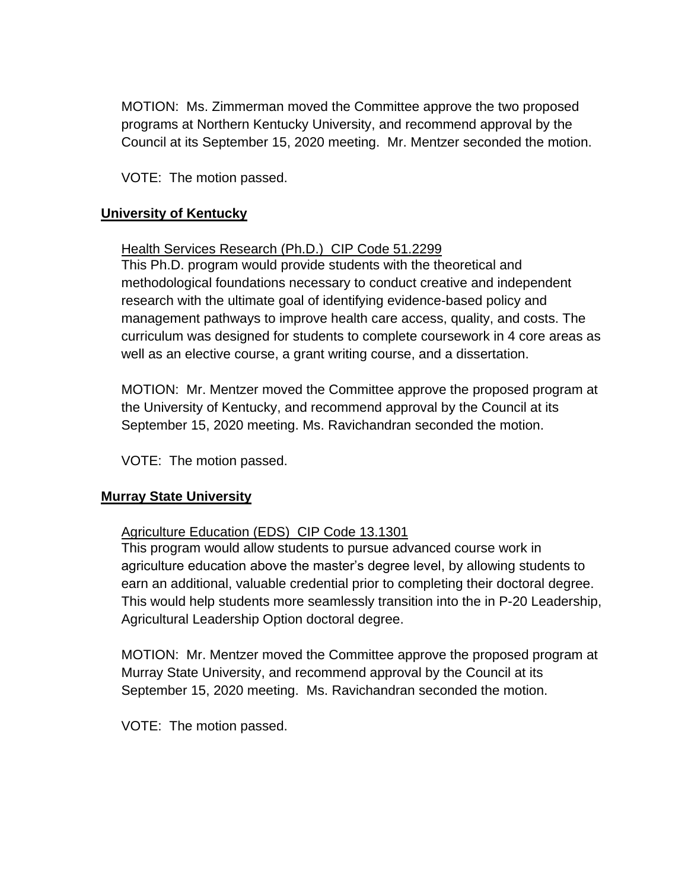MOTION: Ms. Zimmerman moved the Committee approve the two proposed programs at Northern Kentucky University, and recommend approval by the Council at its September 15, 2020 meeting. Mr. Mentzer seconded the motion.

VOTE: The motion passed.

#### **University of Kentucky**

#### Health Services Research (Ph.D.) CIP Code 51.2299

This Ph.D. program would provide students with the theoretical and methodological foundations necessary to conduct creative and independent research with the ultimate goal of identifying evidence-based policy and management pathways to improve health care access, quality, and costs. The curriculum was designed for students to complete coursework in 4 core areas as well as an elective course, a grant writing course, and a dissertation.

MOTION: Mr. Mentzer moved the Committee approve the proposed program at the University of Kentucky, and recommend approval by the Council at its September 15, 2020 meeting. Ms. Ravichandran seconded the motion.

VOTE: The motion passed.

#### **Murray State University**

#### Agriculture Education (EDS) CIP Code 13.1301

This program would allow students to pursue advanced course work in agriculture education above the master's degree level, by allowing students to earn an additional, valuable credential prior to completing their doctoral degree. This would help students more seamlessly transition into the in P-20 Leadership, Agricultural Leadership Option doctoral degree.

MOTION: Mr. Mentzer moved the Committee approve the proposed program at Murray State University, and recommend approval by the Council at its September 15, 2020 meeting. Ms. Ravichandran seconded the motion.

VOTE: The motion passed.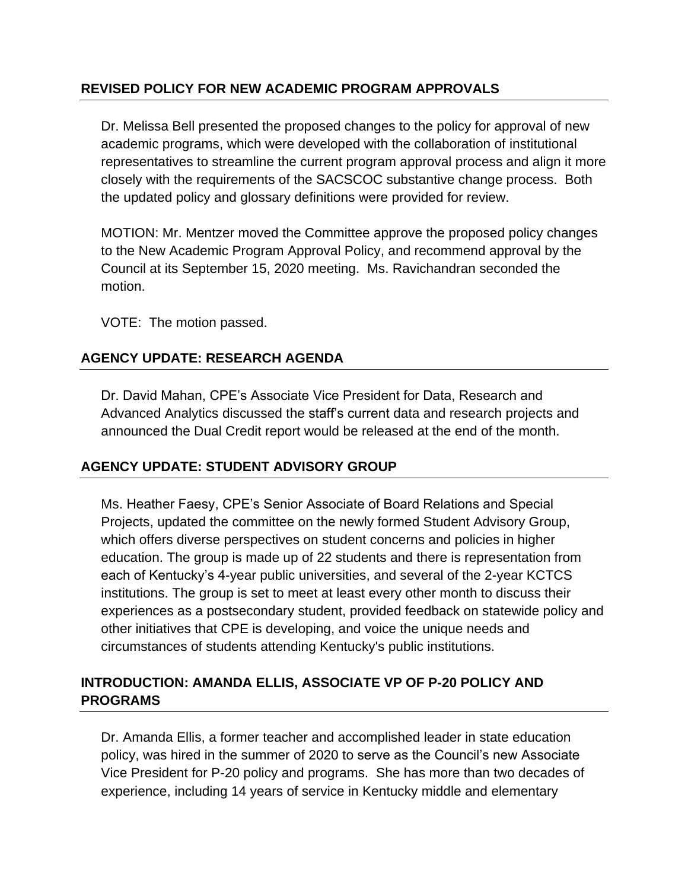### **REVISED POLICY FOR NEW ACADEMIC PROGRAM APPROVALS**

Dr. Melissa Bell presented the proposed changes to the policy for approval of new academic programs, which were developed with the collaboration of institutional representatives to streamline the current program approval process and align it more closely with the requirements of the SACSCOC substantive change process. Both the updated policy and glossary definitions were provided for review.

MOTION: Mr. Mentzer moved the Committee approve the proposed policy changes to the New Academic Program Approval Policy, and recommend approval by the Council at its September 15, 2020 meeting. Ms. Ravichandran seconded the motion.

VOTE: The motion passed.

# **AGENCY UPDATE: RESEARCH AGENDA**

Dr. David Mahan, CPE's Associate Vice President for Data, Research and Advanced Analytics discussed the staff's current data and research projects and announced the Dual Credit report would be released at the end of the month.

# **AGENCY UPDATE: STUDENT ADVISORY GROUP**

Ms. Heather Faesy, CPE's Senior Associate of Board Relations and Special Projects, updated the committee on the newly formed Student Advisory Group, which offers diverse perspectives on student concerns and policies in higher education. The group is made up of 22 students and there is representation from each of Kentucky's 4-year public universities, and several of the 2-year KCTCS institutions. The group is set to meet at least every other month to discuss their experiences as a postsecondary student, provided feedback on statewide policy and other initiatives that CPE is developing, and voice the unique needs and circumstances of students attending Kentucky's public institutions.

# **INTRODUCTION: AMANDA ELLIS, ASSOCIATE VP OF P-20 POLICY AND PROGRAMS**

Dr. Amanda Ellis, a former teacher and accomplished leader in state education policy, was hired in the summer of 2020 to serve as the Council's new Associate Vice President for P-20 policy and programs. She has more than two decades of experience, including 14 years of service in Kentucky middle and elementary